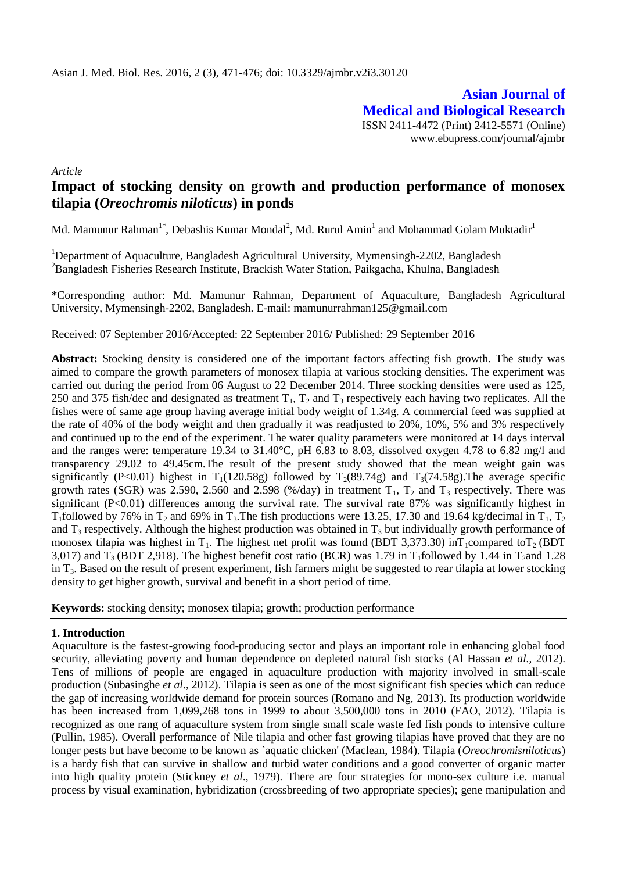**Asian Journal of Medical and Biological Research** ISSN 2411-4472 (Print) 2412-5571 (Online) www.ebupress.com/journal/ajmbr

*Article*

# **Impact of stocking density on growth and production performance of monosex tilapia (***Oreochromis niloticus***) in ponds**

Md. Mamunur Rahman<sup>1\*</sup>, Debashis Kumar Mondal<sup>2</sup>, Md. Rurul Amin<sup>1</sup> and Mohammad Golam Muktadir<sup>1</sup>

<sup>1</sup>Department of Aquaculture, Bangladesh Agricultural University, Mymensingh-2202, Bangladesh <sup>2</sup>Bangladesh Fisheries Research Institute, Brackish Water Station, Paikgacha, Khulna, Bangladesh

\*Corresponding author: Md. Mamunur Rahman, Department of Aquaculture, Bangladesh Agricultural University, Mymensingh-2202, Bangladesh. E-mail: mamunurrahman125@gmail.com

Received: 07 September 2016/Accepted: 22 September 2016/ Published: 29 September 2016

**Abstract:** Stocking density is considered one of the important factors affecting fish growth. The study was aimed to compare the growth parameters of monosex tilapia at various stocking densities. The experiment was carried out during the period from 06 August to 22 December 2014. Three stocking densities were used as 125, 250 and 375 fish/dec and designated as treatment  $T_1$ ,  $T_2$  and  $T_3$  respectively each having two replicates. All the fishes were of same age group having average initial body weight of 1.34g. A commercial feed was supplied at the rate of 40% of the body weight and then gradually it was readjusted to 20%, 10%, 5% and 3% respectively and continued up to the end of the experiment. The water quality parameters were monitored at 14 days interval and the ranges were: temperature 19.34 to 31.40°C, pH 6.83 to 8.03, dissolved oxygen 4.78 to 6.82 mg/l and transparency 29.02 to 49.45cm.The result of the present study showed that the mean weight gain was significantly (P<0.01) highest in T<sub>1</sub>(120.58g) followed by T<sub>2</sub>(89.74g) and T<sub>3</sub>(74.58g). The average specific growth rates (SGR) was 2.590, 2.560 and 2.598 (%/day) in treatment  $T_1$ ,  $T_2$  and  $T_3$  respectively. There was significant (P<0.01) differences among the survival rate. The survival rate 87% was significantly highest in T<sub>1</sub>followed by 76% in T<sub>2</sub> and 69% in T<sub>3</sub>. The fish productions were 13.25, 17.30 and 19.64 kg/decimal in T<sub>1</sub>, T<sub>2</sub> and  $T_3$  respectively. Although the highest production was obtained in  $T_3$  but individually growth performance of monosex tilapia was highest in  $T_1$ . The highest net profit was found (BDT 3,373.30) in $T_1$ compared to $T_2$  (BDT 3,017) and  $T_3$  (BDT 2,918). The highest benefit cost ratio (BCR) was 1.79 in T<sub>1</sub>followed by 1.44 in T<sub>2</sub>and 1.28 in  $T_3$ . Based on the result of present experiment, fish farmers might be suggested to rear tilapia at lower stocking density to get higher growth, survival and benefit in a short period of time.

**Keywords:** stocking density; monosex tilapia; growth; production performance

# **1. Introduction**

Aquaculture is the fastest-growing food-producing sector and plays an important role in enhancing global food security, alleviating poverty and human dependence on depleted natural fish stocks (Al Hassan *et al.,* 2012). Tens of millions of people are engaged in aquaculture production with majority involved in small-scale production (Subasinghe *et al*., 2012). Tilapia is seen as one of the most significant fish species which can reduce the gap of increasing worldwide demand for protein sources (Romano and Ng, 2013). Its production worldwide has been increased from 1,099,268 tons in 1999 to about 3,500,000 tons in 2010 (FAO, 2012). Tilapia is recognized as one rang of aquaculture system from single small scale waste fed fish ponds to intensive culture (Pullin, 1985). Overall performance of Nile tilapia and other fast growing tilapias have proved that they are no longer pests but have become to be known as `aquatic chicken' (Maclean, 1984). Tilapia (*Oreochromisniloticus*) is a hardy fish that can survive in shallow and turbid water conditions and a good converter of organic matter into high quality protein (Stickney *et al*., 1979). There are four strategies for mono-sex culture i.e. manual process by visual examination, hybridization (crossbreeding of two appropriate species); gene manipulation and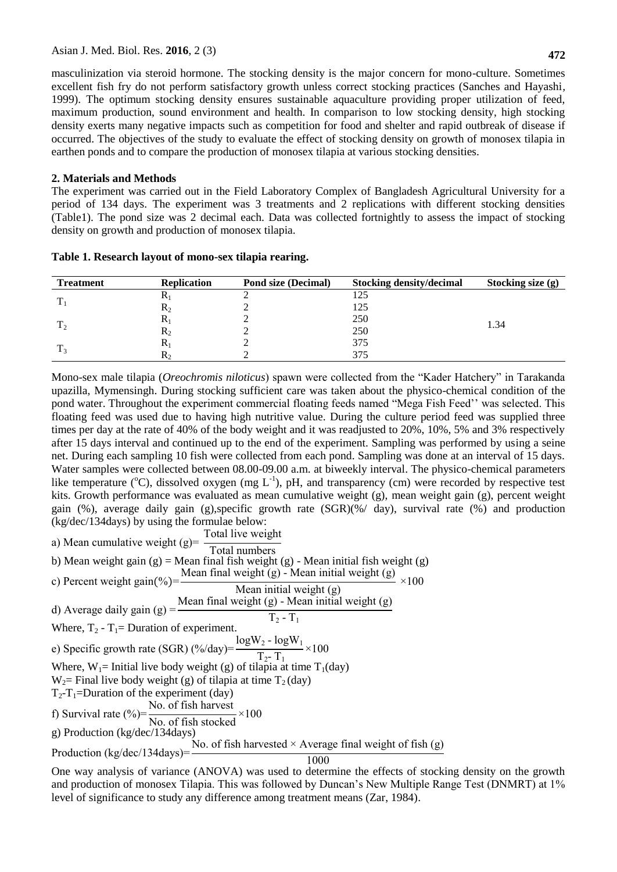masculinization via steroid hormone. The stocking density is the major concern for mono-culture. Sometimes excellent fish fry do not perform satisfactory growth unless correct stocking practices (Sanches and Hayashi*,*  1999). The optimum stocking density ensures sustainable aquaculture providing proper utilization of feed, maximum production, sound environment and health. In comparison to low stocking density, high stocking density exerts many negative impacts such as competition for food and shelter and rapid outbreak of disease if occurred. The objectives of the study to evaluate the effect of stocking density on growth of monosex tilapia in earthen ponds and to compare the production of monosex tilapia at various stocking densities.

# **2. Materials and Methods**

The experiment was carried out in the Field Laboratory Complex of Bangladesh Agricultural University for a period of 134 days. The experiment was 3 treatments and 2 replications with different stocking densities (Table1). The pond size was 2 decimal each. Data was collected fortnightly to assess the impact of stocking density on growth and production of monosex tilapia.

| <b>Treatment</b> | <b>Replication</b> | <b>Pond size (Decimal)</b> | <b>Stocking density/decimal</b> | Stocking size (g) |
|------------------|--------------------|----------------------------|---------------------------------|-------------------|
|                  | л                  |                            |                                 |                   |
|                  | ĸ٥                 |                            | 125                             |                   |
|                  | N.                 |                            | 250                             | 1.34              |
|                  | $\mathbf{K}_{2}$   |                            | 250                             |                   |
|                  | n                  |                            | 375                             |                   |
|                  | ĸ٠                 |                            | 375                             |                   |

**Table 1. Research layout of mono-sex tilapia rearing.**

Mono-sex male tilapia (*Oreochromis niloticus*) spawn were collected from the "Kader Hatchery" in Tarakanda upazilla, Mymensingh. During stocking sufficient care was taken about the physico-chemical condition of the pond water. Throughout the experiment commercial floating feeds named "Mega Fish Feed'' was selected. This floating feed was used due to having high nutritive value. During the culture period feed was supplied three times per day at the rate of 40% of the body weight and it was readjusted to 20%, 10%, 5% and 3% respectively after 15 days interval and continued up to the end of the experiment. Sampling was performed by using a seine net. During each sampling 10 fish were collected from each pond. Sampling was done at an interval of 15 days. Water samples were collected between 08.00-09.00 a.m. at biweekly interval. The physico-chemical parameters like temperature ( $^{\circ}$ C), dissolved oxygen (mg L<sup>-1</sup>), pH, and transparency (cm) were recorded by respective test kits. Growth performance was evaluated as mean cumulative weight (g), mean weight gain (g), percent weight gain (%), average daily gain (g),specific growth rate (SGR)(%/ day), survival rate (%) and production (kg/dec/134days) by using the formulae below:

a) Mean cumulative weight (g)= $\frac{1}{x}$ Total live weight Total numbers b) Mean weight gain  $(g)$  = Mean final fish weight  $(g)$  - Mean initial fish weight  $(g)$ c) Percent weight gain(%)= $\frac{\text{Mean final weight (g)} - \text{Mean initial weight (g)}}{\text{Mean with width}}$ Mean initial weight (g)  $\times$ d) Average daily gain (g) Mean final weight  $(g)$  - Mean initial weight  $(g)$  $T_2 - T_1$ Where,  $T_2 - T_1 =$  Duration of experiment. e) Specific growth rate (SGR)  $\frac{\frac{9}{6}}{day}$  $log W_2 - log W$  $\frac{T_2 - T_3 + T_1}{T_2 - T_1} \times$ Where,  $W_1$ = Initial live body weight (g) of tilapia at time T<sub>1</sub>(day)  $W_2$ = Final live body weight (g) of tilapia at time T<sub>2</sub> (day)  $T_2$ - $T_1$ =Duration of the experiment (day) f) Survival rate  $(\% )$ = No. of fish harvest No. of fish stocked  $\times$ g) Production (kg/dec/134days) Production ( $kg/dec/134 days$ )= No. of fish harvested  $\times$  Average final weight of fish (g) 1000

One way analysis of variance (ANOVA) was used to determine the effects of stocking density on the growth and production of monosex Tilapia. This was followed by Duncan's New Multiple Range Test (DNMRT) at 1% level of significance to study any difference among treatment means (Zar, 1984).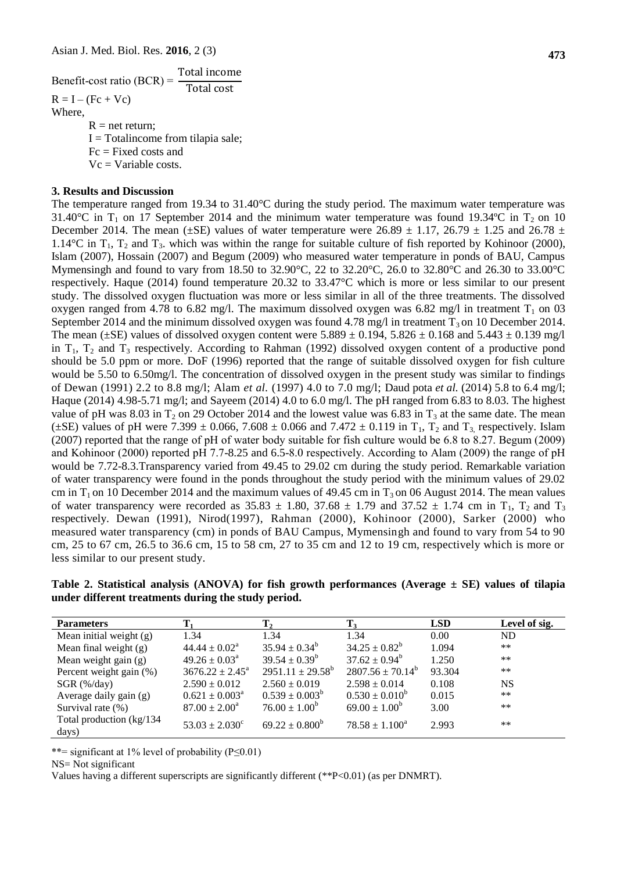Benefit-cost ratio (BCR) T T  $R = I - (Fc + Vc)$ Where,  $R = net return$ :  $I = Total income from tilapia sale;$ 

 $Fc = Fixed \cos ts$  and

 $Vc = \text{Variable costs.}$ 

### **3. Results and Discussion**

The temperature ranged from 19.34 to 31.40°C during the study period. The maximum water temperature was 31.40°C in  $T_1$  on 17 September 2014 and the minimum water temperature was found 19.34°C in  $T_2$  on 10 December 2014. The mean ( $\pm$ SE) values of water temperature were 26.89  $\pm$  1.17, 26.79  $\pm$  1.25 and 26.78  $\pm$ 1.14 $^{\circ}$ C in T<sub>1</sub>, T<sub>2</sub> and T<sub>3</sub>. which was within the range for suitable culture of fish reported by Kohinoor (2000), Islam (2007), Hossain (2007) and Begum (2009) who measured water temperature in ponds of BAU, Campus Mymensingh and found to vary from 18.50 to 32.90 °C, 22 to 32.20 °C, 26.0 to 32.80 °C and 26.30 to 33.00 °C respectively. Haque (2014) found temperature 20.32 to 33.47°C which is more or less similar to our present study. The dissolved oxygen fluctuation was more or less similar in all of the three treatments. The dissolved oxygen ranged from 4.78 to 6.82 mg/l. The maximum dissolved oxygen was 6.82 mg/l in treatment  $T_1$  on 03 September 2014 and the minimum dissolved oxygen was found 4.78 mg/l in treatment  $T_3$  on 10 December 2014. The mean ( $\pm$ SE) values of dissolved oxygen content were 5.889  $\pm$  0.194, 5.826  $\pm$  0.168 and 5.443  $\pm$  0.139 mg/l in  $T_1$ ,  $T_2$  and  $T_3$  respectively. According to Rahman (1992) dissolved oxygen content of a productive pond should be 5.0 ppm or more. DoF (1996) reported that the range of suitable dissolved oxygen for fish culture would be 5.50 to 6.50mg/l. The concentration of dissolved oxygen in the present study was similar to findings of Dewan (1991) 2.2 to 8.8 mg/l; Alam *et al.* (1997) 4.0 to 7.0 mg/l; Daud pota *et al.* (2014) 5.8 to 6.4 mg/l; Haque (2014) 4.98-5.71 mg/l; and Sayeem (2014) 4.0 to 6.0 mg/l. The pH ranged from 6.83 to 8.03. The highest value of pH was 8.03 in  $T_2$  on 29 October 2014 and the lowest value was 6.83 in  $T_3$  at the same date. The mean ( $\pm$ SE) values of pH were 7.399  $\pm$  0.066, 7.608  $\pm$  0.066 and 7.472  $\pm$  0.119 in T<sub>1</sub>, T<sub>2</sub> and T<sub>3</sub> respectively. Islam (2007) reported that the range of pH of water body suitable for fish culture would be 6.8 to 8.27. Begum (2009) and Kohinoor (2000) reported pH 7.7-8.25 and 6.5-8.0 respectively. According to Alam (2009) the range of pH would be 7.72-8.3.Transparency varied from 49.45 to 29.02 cm during the study period. Remarkable variation of water transparency were found in the ponds throughout the study period with the minimum values of 29.02 cm in  $T_1$  on 10 December 2014 and the maximum values of 49.45 cm in  $T_3$  on 06 August 2014. The mean values of water transparency were recorded as  $35.83 \pm 1.80$ ,  $37.68 \pm 1.79$  and  $37.52 \pm 1.74$  cm in T<sub>1</sub>, T<sub>2</sub> and T<sub>3</sub> respectively. Dewan (1991), Nirod(1997), Rahman (2000), Kohinoor (2000), Sarker (2000) who measured water transparency (cm) in ponds of BAU Campus, Mymensingh and found to vary from 54 to 90 cm, 25 to 67 cm, 26.5 to 36.6 cm, 15 to 58 cm, 27 to 35 cm and 12 to 19 cm, respectively which is more or less similar to our present study.

**Table 2. Statistical analysis (ANOVA) for fish growth performances (Average ± SE) values of tilapia under different treatments during the study period.**

| <b>Parameters</b>                  |                              | $\bf{T}_2$                  | $T_3$                 | <b>LSD</b> | Level of sig. |
|------------------------------------|------------------------------|-----------------------------|-----------------------|------------|---------------|
| Mean initial weight $(g)$          | 1.34                         | 1.34                        | 1.34                  | 0.00       | <b>ND</b>     |
| Mean final weight $(g)$            | $44.44 \pm 0.02^{\text{a}}$  | $35.94 \pm 0.34^b$          | $34.25 \pm 0.82^b$    | 1.094      | $**$          |
| Mean weight gain (g)               | $49.26 \pm 0.03^{\circ}$     | $39.54 \pm 0.39^b$          | $37.62 \pm 0.94^b$    | 1.250      | $***$         |
| Percent weight gain (%)            | $3676.22 \pm 2.45^{\circ}$   | $2951.11 \pm 29.58^{\circ}$ | $2807.56 \pm 70.14^b$ | 93.304     | $***$         |
| $SGR$ (%/day)                      | $2.590 \pm 0.012$            | $2.560 \pm 0.019$           | $2.598 \pm 0.014$     | 0.108      | <b>NS</b>     |
| Average daily gain (g)             | $0.621 \pm 0.003^{\text{a}}$ | $0.539 \pm 0.003^b$         | $0.530 \pm 0.010^b$   | 0.015      | $***$         |
| Survival rate (%)                  | $87.00 \pm 2.00^a$           | $76.00 \pm 1.00^b$          | $69.00 \pm 1.00^b$    | 3.00       | $***$         |
| Total production (kg/134)<br>days) | $53.03 \pm 2.030^{\circ}$    | $69.22 \pm 0.800^b$         | $78.58 \pm 1.100^a$   | 2.993      | $***$         |

\*\* = significant at 1% level of probability  $(P \le 0.01)$ 

NS= Not significant

Values having a different superscripts are significantly different (\*\*P<0.01) (as per DNMRT).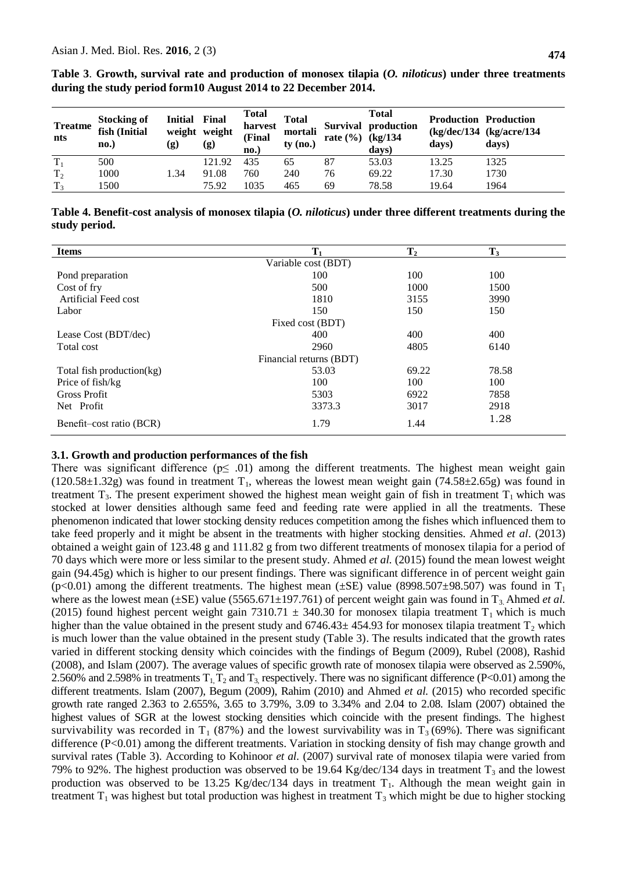| <b>Treatme</b><br>nts | <b>Stocking of</b><br>fish (Initial<br>no.) | <b>Initial</b><br>weight weight<br>(g) | Final<br>$\left( \mathbf{g} \right)$ | <b>Total</b><br>harvest<br>(Final<br>$\mathbf{no.}$ | <b>Total</b><br>mortali<br>$ty$ (no.) | rate $(\% )$ | Total<br>Survival production<br>(kg/134)<br>days) | <b>Production Production</b><br>days) | (kg/dec/134 (kg/acre/134<br>days) |
|-----------------------|---------------------------------------------|----------------------------------------|--------------------------------------|-----------------------------------------------------|---------------------------------------|--------------|---------------------------------------------------|---------------------------------------|-----------------------------------|
| $T_1$                 | 500                                         |                                        | 121.92                               | 435                                                 | 65                                    | 87           | 53.03                                             | 13.25                                 | 1325                              |
|                       |                                             |                                        |                                      |                                                     |                                       |              |                                                   |                                       |                                   |

**Table 3**. **Growth, survival rate and production of monosex tilapia (***O. niloticus***) under three treatments during the study period form10 August 2014 to 22 December 2014.** 

**Table 4. Benefit-cost analysis of monosex tilapia (***O. niloticus***) under three different treatments during the study period.**

 $T_3$  1500 75.92 1035 465 69 78.58 19.64 1964

| <b>Items</b>              | $\mathbf{T}_1$ | $\mathbf{T}_2$ | $T_3$ |  |  |  |  |  |
|---------------------------|----------------|----------------|-------|--|--|--|--|--|
| Variable cost (BDT)       |                |                |       |  |  |  |  |  |
| Pond preparation          | 100            | 100            | 100   |  |  |  |  |  |
| Cost of fry               | 500            | 1000           | 1500  |  |  |  |  |  |
| Artificial Feed cost      | 1810           | 3155           | 3990  |  |  |  |  |  |
| Labor                     | 150            | 150            | 150   |  |  |  |  |  |
| Fixed cost (BDT)          |                |                |       |  |  |  |  |  |
| Lease Cost (BDT/dec)      | 400            | 400            | 400   |  |  |  |  |  |
| Total cost                | 2960           | 4805           | 6140  |  |  |  |  |  |
| Financial returns (BDT)   |                |                |       |  |  |  |  |  |
| Total fish production(kg) | 53.03          | 69.22          | 78.58 |  |  |  |  |  |
| Price of fish/kg          | 100            | 100            | 100   |  |  |  |  |  |
| <b>Gross Profit</b>       | 5303           | 6922           | 7858  |  |  |  |  |  |
| Net Profit                | 3373.3         | 3017           | 2918  |  |  |  |  |  |
| Benefit-cost ratio (BCR)  | 1.79           | 1.44           | 1.28  |  |  |  |  |  |

# **3.1. Growth and production performances of the fish**

There was significant difference  $(p \le 0.01)$  among the different treatments. The highest mean weight gain  $(120.58\pm1.32g)$  was found in treatment T<sub>1</sub>, whereas the lowest mean weight gain  $(74.58\pm2.65g)$  was found in treatment  $T_3$ . The present experiment showed the highest mean weight gain of fish in treatment  $T_1$  which was stocked at lower densities although same feed and feeding rate were applied in all the treatments. These phenomenon indicated that lower stocking density reduces competition among the fishes which influenced them to take feed properly and it might be absent in the treatments with higher stocking densities. Ahmed *et al*. (2013) obtained a weight gain of 123.48 g and 111.82 g from two different treatments of monosex tilapia for a period of 70 days which were more or less similar to the present study. Ahmed *et al.* (2015) found the mean lowest weight gain (94.45g) which is higher to our present findings. There was significant difference in of percent weight gain  $(p<0.01)$  among the different treatments. The highest mean ( $\pm$ SE) value (8998.507 $\pm$ 98.507) was found in T<sub>1</sub> where as the lowest mean ( $\pm$ SE) value (5565.671 $\pm$ 197.761) of percent weight gain was found in T<sub>3</sub>. Ahmed *et al.* (2015) found highest percent weight gain 7310.71  $\pm$  340.30 for monosex tilapia treatment T<sub>1</sub> which is much higher than the value obtained in the present study and  $6746.43 \pm 454.93$  for monosex tilapia treatment T<sub>2</sub> which is much lower than the value obtained in the present study (Table 3). The results indicated that the growth rates varied in different stocking density which coincides with the findings of Begum (2009), Rubel (2008), Rashid (2008), and Islam (2007). The average values of specific growth rate of monosex tilapia were observed as 2.590%, 2.560% and 2.598% in treatments  $T_1$ ,  $T_2$  and  $T_3$  respectively. There was no significant difference (P<0.01) among the different treatments. Islam (2007), Begum (2009), Rahim (2010) and Ahmed *et al.* (2015) who recorded specific growth rate ranged 2.363 to 2.655%, 3.65 to 3.79%, 3.09 to 3.34% and 2.04 to 2.08. Islam (2007) obtained the highest values of SGR at the lowest stocking densities which coincide with the present findings. The highest survivability was recorded in T<sub>1</sub> (87%) and the lowest survivability was in T<sub>3</sub> (69%). There was significant difference (P<0.01) among the different treatments. Variation in stocking density of fish may change growth and survival rates (Table 3). According to Kohinoor *et al.* (2007) survival rate of monosex tilapia were varied from 79% to 92%. The highest production was observed to be 19.64 Kg/dec/134 days in treatment  $T_3$  and the lowest production was observed to be 13.25 Kg/dec/134 days in treatment  $T_1$ . Although the mean weight gain in treatment  $T_1$  was highest but total production was highest in treatment  $T_3$  which might be due to higher stocking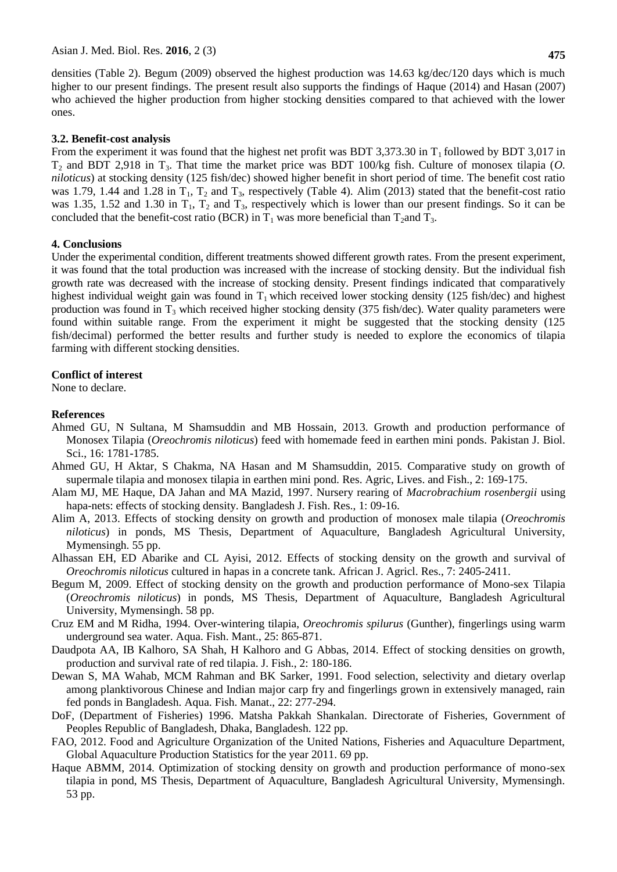densities (Table 2). Begum (2009) observed the highest production was 14.63 kg/dec/120 days which is much higher to our present findings. The present result also supports the findings of Haque (2014) and Hasan (2007) who achieved the higher production from higher stocking densities compared to that achieved with the lower ones.

# **3.2. Benefit-cost analysis**

From the experiment it was found that the highest net profit was BDT 3,373.30 in  $T_1$  followed by BDT 3,017 in T<sup>2</sup> and BDT 2,918 in T3. That time the market price was BDT 100/kg fish. Culture of monosex tilapia (*O. niloticus*) at stocking density (125 fish/dec) showed higher benefit in short period of time. The benefit cost ratio was 1.79, 1.44 and 1.28 in  $T_1$ ,  $T_2$  and  $T_3$ , respectively (Table 4). Alim (2013) stated that the benefit-cost ratio was 1.35, 1.52 and 1.30 in  $T_1$ ,  $T_2$  and  $T_3$ , respectively which is lower than our present findings. So it can be concluded that the benefit-cost ratio (BCR) in  $T_1$  was more beneficial than  $T_2$ and  $T_3$ .

### **4. Conclusions**

Under the experimental condition, different treatments showed different growth rates. From the present experiment, it was found that the total production was increased with the increase of stocking density. But the individual fish growth rate was decreased with the increase of stocking density. Present findings indicated that comparatively highest individual weight gain was found in  $T_1$  which received lower stocking density (125 fish/dec) and highest production was found in  $T_3$  which received higher stocking density (375 fish/dec). Water quality parameters were found within suitable range. From the experiment it might be suggested that the stocking density (125 fish/decimal) performed the better results and further study is needed to explore the economics of tilapia farming with different stocking densities.

## **Conflict of interest**

None to declare.

## **References**

- Ahmed GU, N Sultana, M Shamsuddin and MB Hossain, 2013. Growth and production performance of Monosex Tilapia (*Oreochromis niloticus*) feed with homemade feed in earthen mini ponds. Pakistan J. Biol. Sci., 16: 1781-1785.
- Ahmed GU, H Aktar, S Chakma, NA Hasan and M Shamsuddin, 2015. Comparative study on growth of supermale tilapia and monosex tilapia in earthen mini pond. Res. Agric, Lives. and Fish., 2: 169-175.
- Alam MJ, ME Haque, DA Jahan and MA Mazid, 1997. Nursery rearing of *Macrobrachium rosenbergii* using hapa-nets: effects of stocking density. Bangladesh J. Fish. Res., 1: 09-16.
- Alim A, 2013. Effects of stocking density on growth and production of monosex male tilapia (*Oreochromis niloticus*) in ponds, MS Thesis, Department of Aquaculture, Bangladesh Agricultural University, Mymensingh. 55 pp.
- Alhassan EH, ED Abarike and CL Ayisi, 2012. Effects of stocking density on the growth and survival of *Oreochromis niloticus* cultured in hapas in a concrete tank. African J. Agricl. Res., 7: 2405-2411.
- Begum M, 2009. Effect of stocking density on the growth and production performance of Mono-sex Tilapia (*Oreochromis niloticus*) in ponds, MS Thesis, Department of Aquaculture, Bangladesh Agricultural University, Mymensingh. 58 pp.
- Cruz EM and M Ridha, 1994. Over-wintering tilapia, *Oreochromis spilurus* (Gunther), fingerlings using warm underground sea water. Aqua. Fish. Mant., 25: 865-871.
- Daudpota AA, IB Kalhoro, SA Shah, H Kalhoro and G Abbas, 2014. Effect of stocking densities on growth, production and survival rate of red tilapia. J. Fish., 2: 180-186.
- Dewan S, MA Wahab, MCM Rahman and BK Sarker, 1991. Food selection, selectivity and dietary overlap among planktivorous Chinese and Indian major carp fry and fingerlings grown in extensively managed, rain fed ponds in Bangladesh. Aqua. Fish. Manat., 22: 277-294.
- DoF, (Department of Fisheries) 1996. Matsha Pakkah Shankalan. Directorate of Fisheries, Government of Peoples Republic of Bangladesh, Dhaka, Bangladesh. 122 pp.
- FAO, 2012. Food and Agriculture Organization of the United Nations, Fisheries and Aquaculture Department, Global Aquaculture Production Statistics for the year 2011. 69 pp.
- Haque ABMM, 2014. Optimization of stocking density on growth and production performance of mono-sex tilapia in pond, MS Thesis, Department of Aquaculture, Bangladesh Agricultural University, Mymensingh. 53 pp.